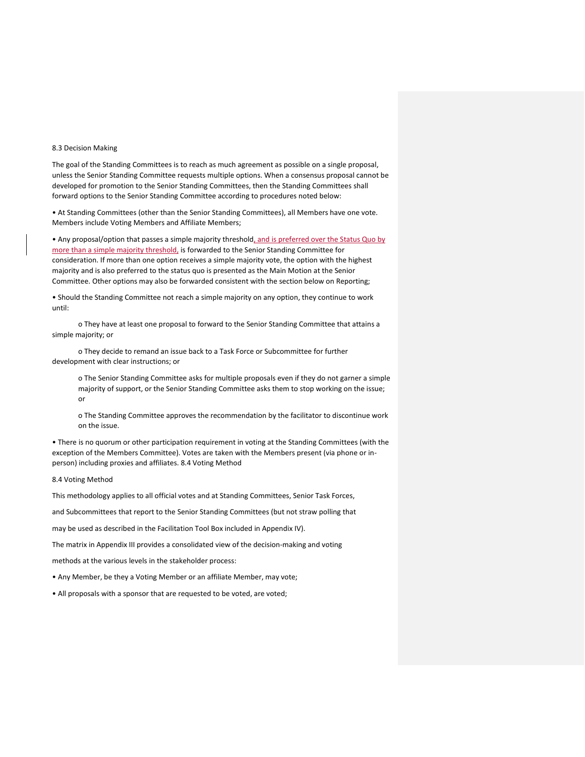## 8.3 Decision Making

The goal of the Standing Committees is to reach as much agreement as possible on a single proposal, unless the Senior Standing Committee requests multiple options. When a consensus proposal cannot be developed for promotion to the Senior Standing Committees, then the Standing Committees shall forward options to the Senior Standing Committee according to procedures noted below:

• At Standing Committees (other than the Senior Standing Committees), all Members have one vote. Members include Voting Members and Affiliate Members;

• Any proposal/option that passes a simple majority threshold, and is preferred over the Status Quo by more than a simple majority threshold, is forwarded to the Senior Standing Committee for consideration. If more than one option receives a simple majority vote, the option with the highest majority and is also preferred to the status quo is presented as the Main Motion at the Senior Committee. Other options may also be forwarded consistent with the section below on Reporting;

• Should the Standing Committee not reach a simple majority on any option, they continue to work until:

o They have at least one proposal to forward to the Senior Standing Committee that attains a simple majority; or

o They decide to remand an issue back to a Task Force or Subcommittee for further development with clear instructions; or

o The Senior Standing Committee asks for multiple proposals even if they do not garner a simple majority of support, or the Senior Standing Committee asks them to stop working on the issue; or

o The Standing Committee approves the recommendation by the facilitator to discontinue work on the issue.

• There is no quorum or other participation requirement in voting at the Standing Committees (with the exception of the Members Committee). Votes are taken with the Members present (via phone or inperson) including proxies and affiliates. 8.4 Voting Method

## 8.4 Voting Method

This methodology applies to all official votes and at Standing Committees, Senior Task Forces,

and Subcommittees that report to the Senior Standing Committees (but not straw polling that

may be used as described in the Facilitation Tool Box included in Appendix IV).

The matrix in Appendix III provides a consolidated view of the decision-making and voting

methods at the various levels in the stakeholder process:

• Any Member, be they a Voting Member or an affiliate Member, may vote;

• All proposals with a sponsor that are requested to be voted, are voted;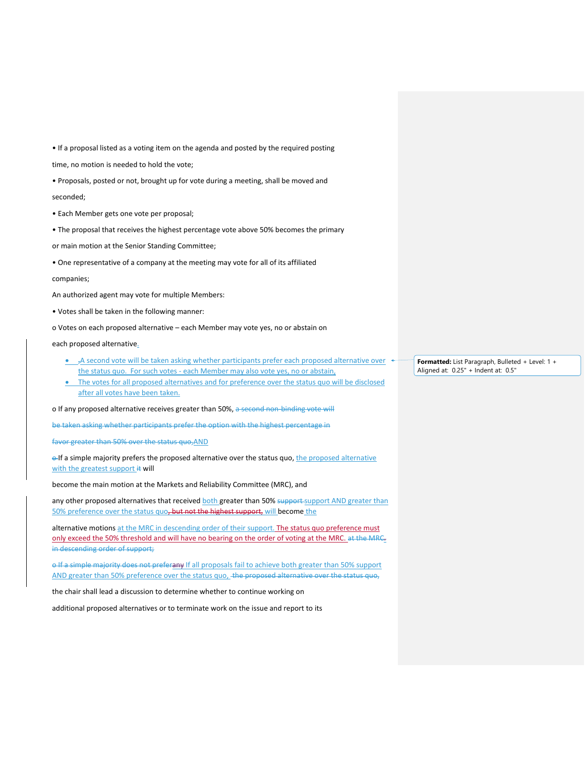• If a proposal listed as a voting item on the agenda and posted by the required posting

time, no motion is needed to hold the vote;

• Proposals, posted or not, brought up for vote during a meeting, shall be moved and

seconded;

• Each Member gets one vote per proposal;

• The proposal that receives the highest percentage vote above 50% becomes the primary

or main motion at the Senior Standing Committee;

• One representative of a company at the meeting may vote for all of its affiliated

## companies;

An authorized agent may vote for multiple Members:

- Votes shall be taken in the following manner:
- o Votes on each proposed alternative each Member may vote yes, no or abstain on

each proposed alternative.

- $<sub>7</sub>A$  second vote will be taken asking whether participants prefer each proposed alternative over  $\rightarrow$ </sub> the status quo. For such votes - each Member may also vote yes, no or abstain,
- The votes for all proposed alternatives and for preference over the status quo will be disclosed after all votes have been taken.

o If any proposed alternative receives greater than 50%, a second non-binding vote will

be taken asking whether participants prefer the option with the highest percentage in

favor greater than 50% over the status quo, AND

e-If a simple majority prefers the proposed alternative over the status quo, the proposed alternative with the greatest support it will

become the main motion at the Markets and Reliability Committee (MRC), and

any other proposed alternatives that received both greater than 50% support support AND greater than 50% preference over the status quo, but not the highest support, will become the

alternative motions at the MRC in descending order of their support. The status quo preference must only exceed the 50% threshold and will have no bearing on the order of voting at the MRC. at the MRC. in descending order of support;

o If a simple majority does not preferany If all proposals fail to achieve both greater than 50% support AND greater than 50% preference over the status quo, the proposed alternative over the status quo,

the chair shall lead a discussion to determine whether to continue working on

additional proposed alternatives or to terminate work on the issue and report to its

**Formatted:** List Paragraph, Bulleted + Level: 1 + Aligned at: 0.25" + Indent at: 0.5"